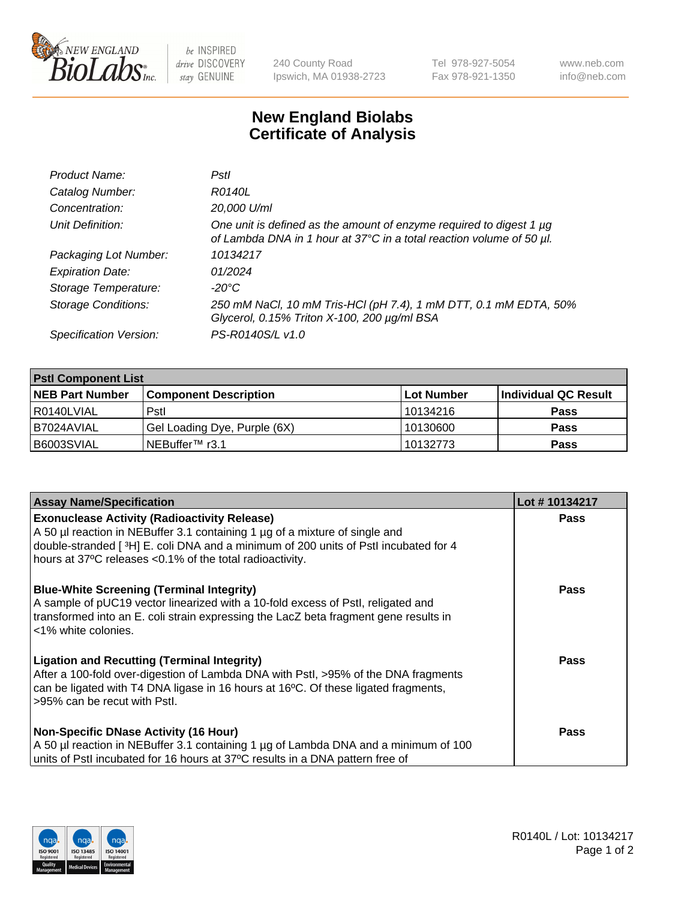

 $be$  INSPIRED drive DISCOVERY stay GENUINE

240 County Road Ipswich, MA 01938-2723 Tel 978-927-5054 Fax 978-921-1350 www.neb.com info@neb.com

## **New England Biolabs Certificate of Analysis**

| Product Name:              | Pstl                                                                                                                                        |
|----------------------------|---------------------------------------------------------------------------------------------------------------------------------------------|
| Catalog Number:            | R0140L                                                                                                                                      |
| Concentration:             | 20,000 U/ml                                                                                                                                 |
| Unit Definition:           | One unit is defined as the amount of enzyme required to digest 1 µg<br>of Lambda DNA in 1 hour at 37°C in a total reaction volume of 50 µl. |
| Packaging Lot Number:      | 10134217                                                                                                                                    |
| <b>Expiration Date:</b>    | 01/2024                                                                                                                                     |
| Storage Temperature:       | -20°C                                                                                                                                       |
| <b>Storage Conditions:</b> | 250 mM NaCl, 10 mM Tris-HCl (pH 7.4), 1 mM DTT, 0.1 mM EDTA, 50%<br>Glycerol, 0.15% Triton X-100, 200 µg/ml BSA                             |
| Specification Version:     | PS-R0140S/L v1.0                                                                                                                            |

| <b>PstI Component List</b> |                              |            |                      |  |  |
|----------------------------|------------------------------|------------|----------------------|--|--|
| <b>NEB Part Number</b>     | <b>Component Description</b> | Lot Number | Individual QC Result |  |  |
| R0140LVIAL                 | Pstl                         | 10134216   | <b>Pass</b>          |  |  |
| B7024AVIAL                 | Gel Loading Dye, Purple (6X) | 10130600   | <b>Pass</b>          |  |  |
| B6003SVIAL                 | ⊥NEBuffer™ r3.1              | 10132773   | <b>Pass</b>          |  |  |

| <b>Assay Name/Specification</b>                                                                                                                                                                                                                                                          | Lot #10134217 |
|------------------------------------------------------------------------------------------------------------------------------------------------------------------------------------------------------------------------------------------------------------------------------------------|---------------|
| <b>Exonuclease Activity (Radioactivity Release)</b><br>A 50 µl reaction in NEBuffer 3.1 containing 1 µg of a mixture of single and<br>double-stranded [3H] E. coli DNA and a minimum of 200 units of Pstl incubated for 4                                                                | <b>Pass</b>   |
| hours at 37°C releases <0.1% of the total radioactivity.<br><b>Blue-White Screening (Terminal Integrity)</b><br>A sample of pUC19 vector linearized with a 10-fold excess of Pstl, religated and<br>transformed into an E. coli strain expressing the LacZ beta fragment gene results in | Pass          |
| l <1% white colonies.<br><b>Ligation and Recutting (Terminal Integrity)</b><br>After a 100-fold over-digestion of Lambda DNA with Pstl, >95% of the DNA fragments                                                                                                                        | Pass          |
| can be ligated with T4 DNA ligase in 16 hours at 16 <sup>o</sup> C. Of these ligated fragments,<br>l >95% can be recut with Pstl.<br><b>Non-Specific DNase Activity (16 Hour)</b>                                                                                                        | Pass          |
| A 50 µl reaction in NEBuffer 3.1 containing 1 µg of Lambda DNA and a minimum of 100<br>units of Pstl incubated for 16 hours at 37°C results in a DNA pattern free of                                                                                                                     |               |